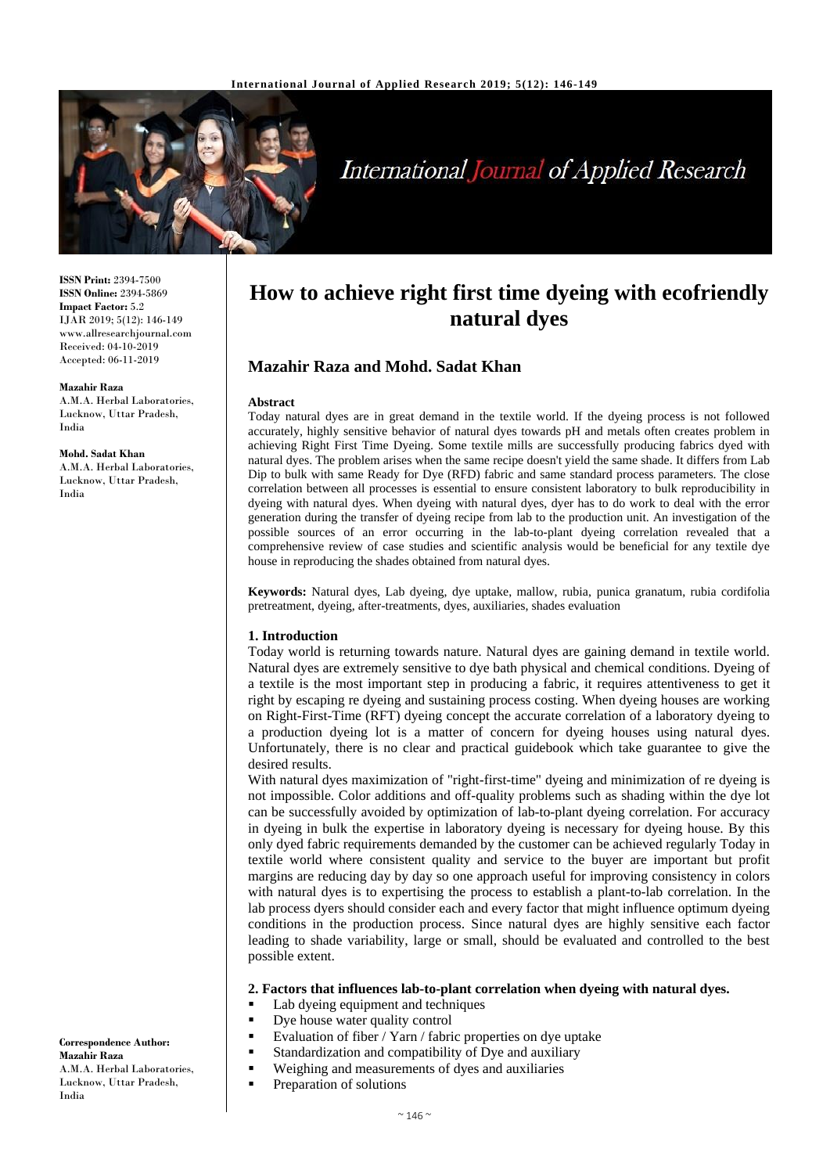

# **International Journal of Applied Research**

**ISSN Print:** 2394-7500 **ISSN Online:** 2394-5869 **Impact Factor:** 5.2 IJAR 2019; 5(12): 146-149 www.allresearchjournal.com Received: 04-10-2019 Accepted: 06-11-2019

#### **Mazahir Raza**

India

A.M.A. Herbal Laboratories, Lucknow, Uttar Pradesh, India

**Mohd. Sadat Khan** A.M.A. Herbal Laboratories, Lucknow, Uttar Pradesh,

#### **Correspondence Author: Mazahir Raza** A.M.A. Herbal Laboratories, Lucknow, Uttar Pradesh, India

# **How to achieve right first time dyeing with ecofriendly natural dyes**

# **Mazahir Raza and Mohd. Sadat Khan**

#### **Abstract**

Today natural dyes are in great demand in the textile world. If the dyeing process is not followed accurately, highly sensitive behavior of natural dyes towards pH and metals often creates problem in achieving Right First Time Dyeing. Some textile mills are successfully producing fabrics dyed with natural dyes. The problem arises when the same recipe doesn't yield the same shade. It differs from Lab Dip to bulk with same Ready for Dye (RFD) fabric and same standard process parameters. The close correlation between all processes is essential to ensure consistent laboratory to bulk reproducibility in dyeing with natural dyes. When dyeing with natural dyes, dyer has to do work to deal with the error generation during the transfer of dyeing recipe from lab to the production unit. An investigation of the possible sources of an error occurring in the lab-to-plant dyeing correlation revealed that a comprehensive review of case studies and scientific analysis would be beneficial for any textile dye house in reproducing the shades obtained from natural dyes.

**Keywords:** Natural dyes, Lab dyeing, dye uptake, mallow, rubia, punica granatum, rubia cordifolia pretreatment, dyeing, after-treatments, dyes, auxiliaries, shades evaluation

#### **1. Introduction**

Today world is returning towards nature. Natural dyes are gaining demand in textile world. Natural dyes are extremely sensitive to dye bath physical and chemical conditions. Dyeing of a textile is the most important step in producing a fabric, it requires attentiveness to get it right by escaping re dyeing and sustaining process costing. When dyeing houses are working on Right-First-Time (RFT) dyeing concept the accurate correlation of a laboratory dyeing to a production dyeing lot is a matter of concern for dyeing houses using natural dyes. Unfortunately, there is no clear and practical guidebook which take guarantee to give the desired results.

With natural dyes maximization of "right-first-time" dyeing and minimization of re dyeing is not impossible. Color additions and off-quality problems such as shading within the dye lot can be successfully avoided by optimization of lab-to-plant dyeing correlation. For accuracy in dyeing in bulk the expertise in laboratory dyeing is necessary for dyeing house. By this only dyed fabric requirements demanded by the customer can be achieved regularly Today in textile world where consistent quality and service to the buyer are important but profit margins are reducing day by day so one approach useful for improving consistency in colors with natural dyes is to expertising the process to establish a plant-to-lab correlation. In the lab process dyers should consider each and every factor that might influence optimum dyeing conditions in the production process. Since natural dyes are highly sensitive each factor leading to shade variability, large or small, should be evaluated and controlled to the best possible extent.

#### **2. Factors that influences lab-to-plant correlation when dyeing with natural dyes.**

- Lab dyeing equipment and techniques
- Dye house water quality control
- Evaluation of fiber / Yarn / fabric properties on dye uptake
- Standardization and compatibility of Dye and auxiliary
- Weighing and measurements of dyes and auxiliaries
	- Preparation of solutions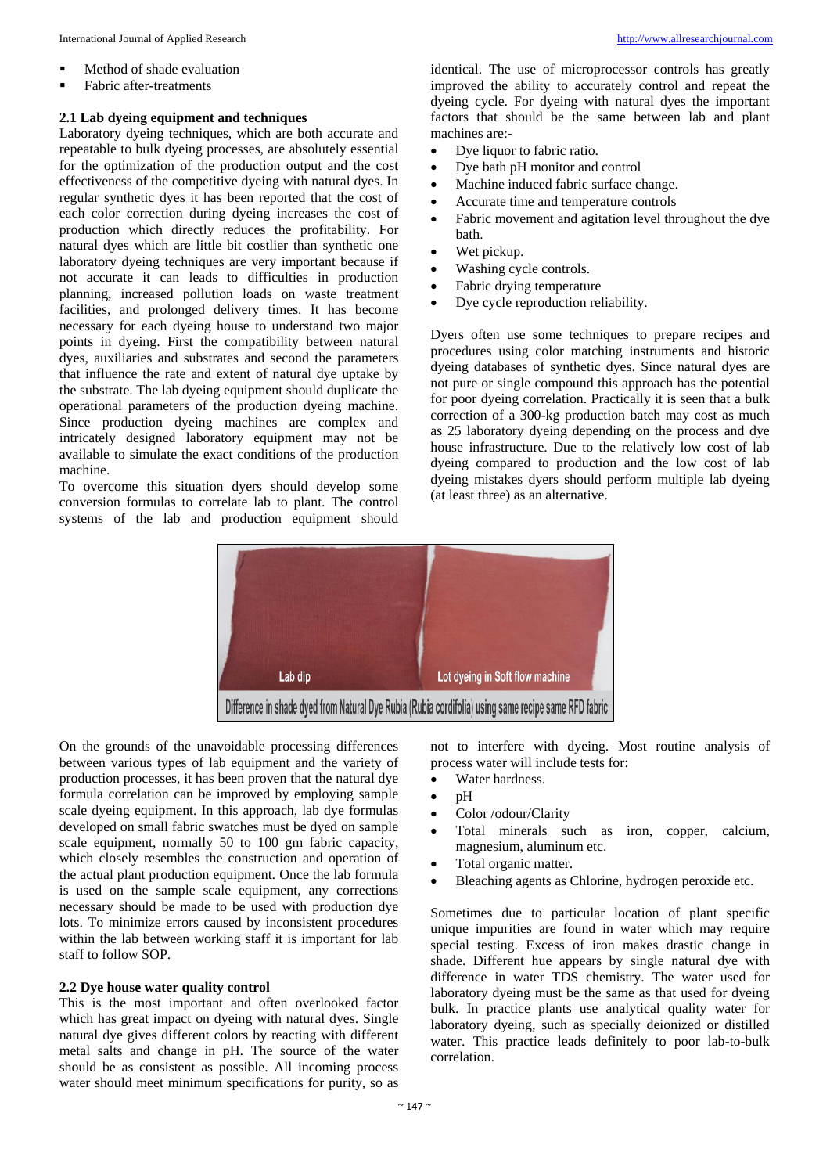- Method of shade evaluation
- **Fabric after-treatments**

#### **2.1 Lab dyeing equipment and techniques**

Laboratory dyeing techniques, which are both accurate and repeatable to bulk dyeing processes, are absolutely essential for the optimization of the production output and the cost effectiveness of the competitive dyeing with natural dyes. In regular synthetic dyes it has been reported that the cost of each color correction during dyeing increases the cost of production which directly reduces the profitability. For natural dyes which are little bit costlier than synthetic one laboratory dyeing techniques are very important because if not accurate it can leads to difficulties in production planning, increased pollution loads on waste treatment facilities, and prolonged delivery times. It has become necessary for each dyeing house to understand two major points in dyeing. First the compatibility between natural dyes, auxiliaries and substrates and second the parameters that influence the rate and extent of natural dye uptake by the substrate. The lab dyeing equipment should duplicate the operational parameters of the production dyeing machine. Since production dyeing machines are complex and intricately designed laboratory equipment may not be available to simulate the exact conditions of the production machine.

To overcome this situation dyers should develop some conversion formulas to correlate lab to plant. The control systems of the lab and production equipment should

identical. The use of microprocessor controls has greatly improved the ability to accurately control and repeat the dyeing cycle. For dyeing with natural dyes the important factors that should be the same between lab and plant machines are:-

- Dye liquor to fabric ratio.
- Dye bath pH monitor and control
- Machine induced fabric surface change.
- Accurate time and temperature controls
- Fabric movement and agitation level throughout the dye bath.
- Wet pickup.
- Washing cycle controls.
- Fabric drying temperature
- Dye cycle reproduction reliability.

Dyers often use some techniques to prepare recipes and procedures using color matching instruments and historic dyeing databases of synthetic dyes. Since natural dyes are not pure or single compound this approach has the potential for poor dyeing correlation. Practically it is seen that a bulk correction of a 300-kg production batch may cost as much as 25 laboratory dyeing depending on the process and dye house infrastructure. Due to the relatively low cost of lab dyeing compared to production and the low cost of lab dyeing mistakes dyers should perform multiple lab dyeing (at least three) as an alternative.



On the grounds of the unavoidable processing differences between various types of lab equipment and the variety of production processes, it has been proven that the natural dye formula correlation can be improved by employing sample scale dyeing equipment. In this approach, lab dye formulas developed on small fabric swatches must be dyed on sample scale equipment, normally 50 to 100 gm fabric capacity, which closely resembles the construction and operation of the actual plant production equipment. Once the lab formula is used on the sample scale equipment, any corrections necessary should be made to be used with production dye lots. To minimize errors caused by inconsistent procedures within the lab between working staff it is important for lab staff to follow SOP.

#### **2.2 Dye house water quality control**

This is the most important and often overlooked factor which has great impact on dyeing with natural dyes. Single natural dye gives different colors by reacting with different metal salts and change in pH. The source of the water should be as consistent as possible. All incoming process water should meet minimum specifications for purity, so as

not to interfere with dyeing. Most routine analysis of process water will include tests for:

- Water hardness.
- $\bullet$  pH
- Color /odour/Clarity
- Total minerals such as iron, copper, calcium, magnesium, aluminum etc.
- Total organic matter.
- Bleaching agents as Chlorine, hydrogen peroxide etc.

Sometimes due to particular location of plant specific unique impurities are found in water which may require special testing. Excess of iron makes drastic change in shade. Different hue appears by single natural dye with difference in water TDS chemistry. The water used for laboratory dyeing must be the same as that used for dyeing bulk. In practice plants use analytical quality water for laboratory dyeing, such as specially deionized or distilled water. This practice leads definitely to poor lab-to-bulk correlation.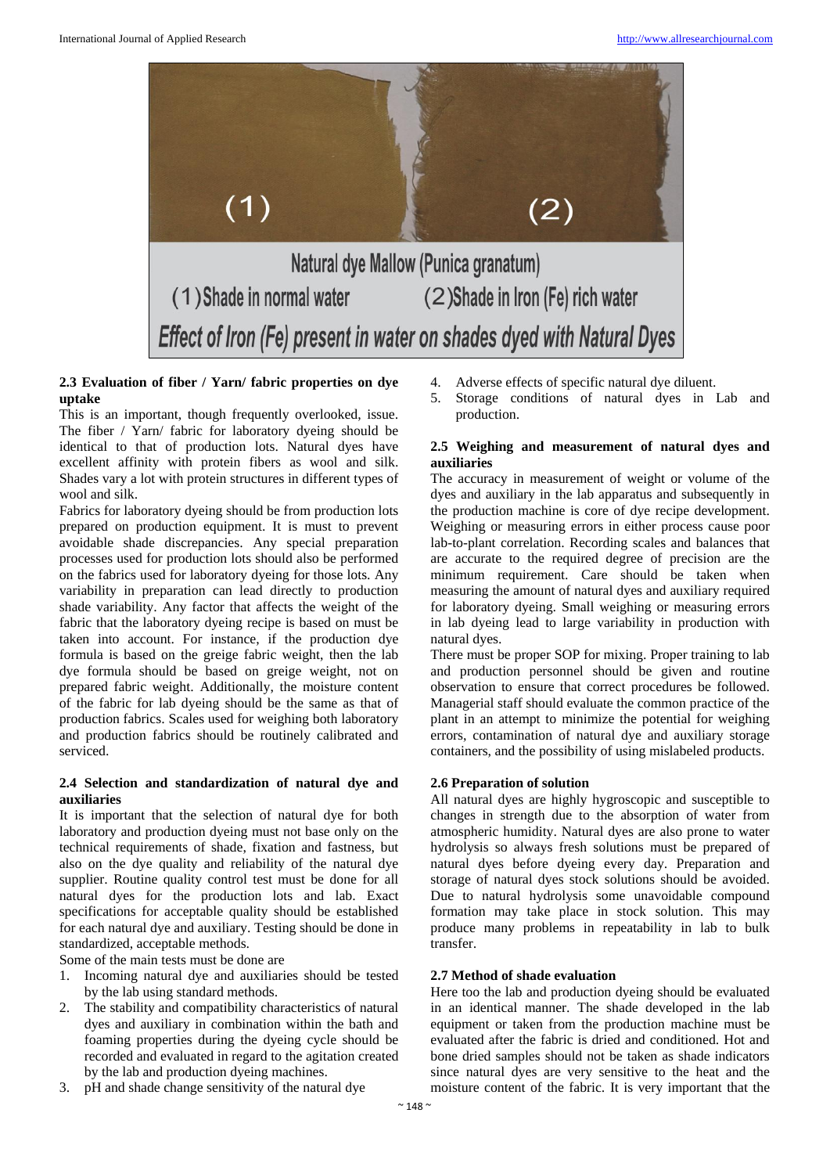

# **2.3 Evaluation of fiber / Yarn/ fabric properties on dye uptake**

This is an important, though frequently overlooked, issue. The fiber / Yarn/ fabric for laboratory dyeing should be identical to that of production lots. Natural dyes have excellent affinity with protein fibers as wool and silk. Shades vary a lot with protein structures in different types of wool and silk.

Fabrics for laboratory dyeing should be from production lots prepared on production equipment. It is must to prevent avoidable shade discrepancies. Any special preparation processes used for production lots should also be performed on the fabrics used for laboratory dyeing for those lots. Any variability in preparation can lead directly to production shade variability. Any factor that affects the weight of the fabric that the laboratory dyeing recipe is based on must be taken into account. For instance, if the production dye formula is based on the greige fabric weight, then the lab dye formula should be based on greige weight, not on prepared fabric weight. Additionally, the moisture content of the fabric for lab dyeing should be the same as that of production fabrics. Scales used for weighing both laboratory and production fabrics should be routinely calibrated and serviced.

## **2.4 Selection and standardization of natural dye and auxiliaries**

It is important that the selection of natural dye for both laboratory and production dyeing must not base only on the technical requirements of shade, fixation and fastness, but also on the dye quality and reliability of the natural dye supplier. Routine quality control test must be done for all natural dyes for the production lots and lab. Exact specifications for acceptable quality should be established for each natural dye and auxiliary. Testing should be done in standardized, acceptable methods.

Some of the main tests must be done are

- 1. Incoming natural dye and auxiliaries should be tested by the lab using standard methods.
- 2. The stability and compatibility characteristics of natural dyes and auxiliary in combination within the bath and foaming properties during the dyeing cycle should be recorded and evaluated in regard to the agitation created by the lab and production dyeing machines.
- 3. pH and shade change sensitivity of the natural dye
- 4. Adverse effects of specific natural dye diluent.
- 5. Storage conditions of natural dyes in Lab and production.

# **2.5 Weighing and measurement of natural dyes and auxiliaries**

The accuracy in measurement of weight or volume of the dyes and auxiliary in the lab apparatus and subsequently in the production machine is core of dye recipe development. Weighing or measuring errors in either process cause poor lab-to-plant correlation. Recording scales and balances that are accurate to the required degree of precision are the minimum requirement. Care should be taken when measuring the amount of natural dyes and auxiliary required for laboratory dyeing. Small weighing or measuring errors in lab dyeing lead to large variability in production with natural dyes.

There must be proper SOP for mixing. Proper training to lab and production personnel should be given and routine observation to ensure that correct procedures be followed. Managerial staff should evaluate the common practice of the plant in an attempt to minimize the potential for weighing errors, contamination of natural dye and auxiliary storage containers, and the possibility of using mislabeled products.

# **2.6 Preparation of solution**

All natural dyes are highly hygroscopic and susceptible to changes in strength due to the absorption of water from atmospheric humidity. Natural dyes are also prone to water hydrolysis so always fresh solutions must be prepared of natural dyes before dyeing every day. Preparation and storage of natural dyes stock solutions should be avoided. Due to natural hydrolysis some unavoidable compound formation may take place in stock solution. This may produce many problems in repeatability in lab to bulk transfer.

## **2.7 Method of shade evaluation**

Here too the lab and production dyeing should be evaluated in an identical manner. The shade developed in the lab equipment or taken from the production machine must be evaluated after the fabric is dried and conditioned. Hot and bone dried samples should not be taken as shade indicators since natural dyes are very sensitive to the heat and the moisture content of the fabric. It is very important that the